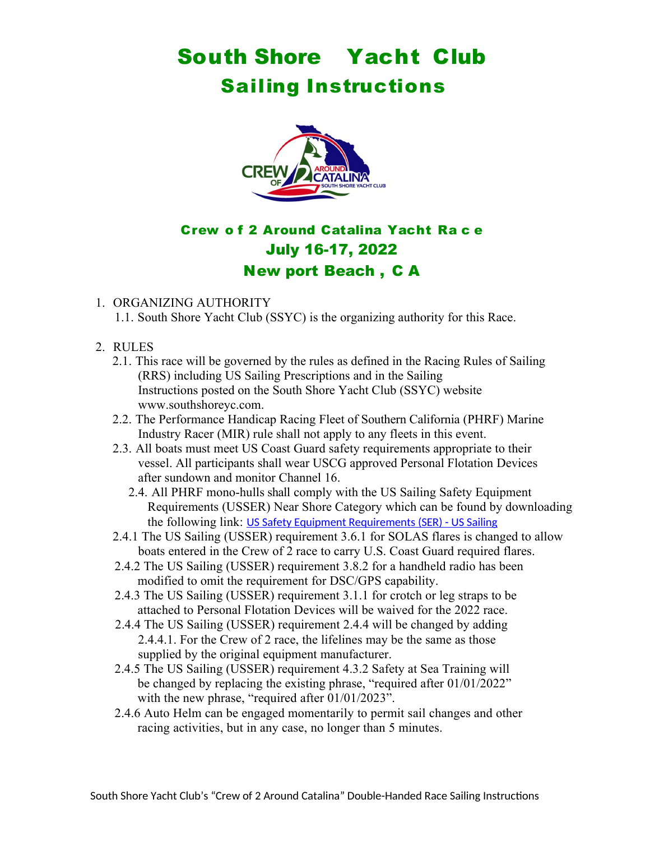# South Shore Yacht Club Sailing Instructions



# Crew o f 2 Around Catalina Yacht Ra c e July 16-17, 2022 New port Beach , C A

# 1. ORGANIZING AUTHORITY

1.1. South Shore Yacht Club (SSYC) is the organizing authority for this Race.

- 2. RULES
	- 2.1. This race will be governed by the rules as defined in the Racing Rules of Sailing (RRS) including US Sailing Prescriptions and in the Sailing Instructions posted on the South Shore Yacht Club (SSYC) website www.southshoreyc.com.
	- 2.2. The Performance Handicap Racing Fleet of Southern California (PHRF) Marine Industry Racer (MIR) rule shall not apply to any fleets in this event.
	- 2.3. All boats must meet US Coast Guard safety requirements appropriate to their vessel. All participants shall wear USCG approved Personal Flotation Devices after sundown and monitor Channel 16.
		- 2.4. All PHRF mono-hulls shall comply with the US Sailing Safety Equipment Requirements (USSER) Near Shore Category which can be found by downloading the following link: [US Safety Equipment Requirements \(SER\) - US Sailing](https://www.ussailing.org/competition/offshore/safety-information/ser-world-sailing-special-regulations/)
	- 2.4.1 The US Sailing (USSER) requirement 3.6.1 for SOLAS flares is changed to allow boats entered in the Crew of 2 race to carry U.S. Coast Guard required flares.
	- 2.4.2 The US Sailing (USSER) requirement 3.8.2 for a handheld radio has been modified to omit the requirement for DSC/GPS capability.
	- 2.4.3 The US Sailing (USSER) requirement 3.1.1 for crotch or leg straps to be attached to Personal Flotation Devices will be waived for the 2022 race.
	- 2.4.4 The US Sailing (USSER) requirement 2.4.4 will be changed by adding 2.4.4.1. For the Crew of 2 race, the lifelines may be the same as those supplied by the original equipment manufacturer.
	- 2.4.5 The US Sailing (USSER) requirement 4.3.2 Safety at Sea Training will be changed by replacing the existing phrase, "required after 01/01/2022" with the new phrase, "required after 01/01/2023".
	- 2.4.6 Auto Helm can be engaged momentarily to permit sail changes and other racing activities, but in any case, no longer than 5 minutes.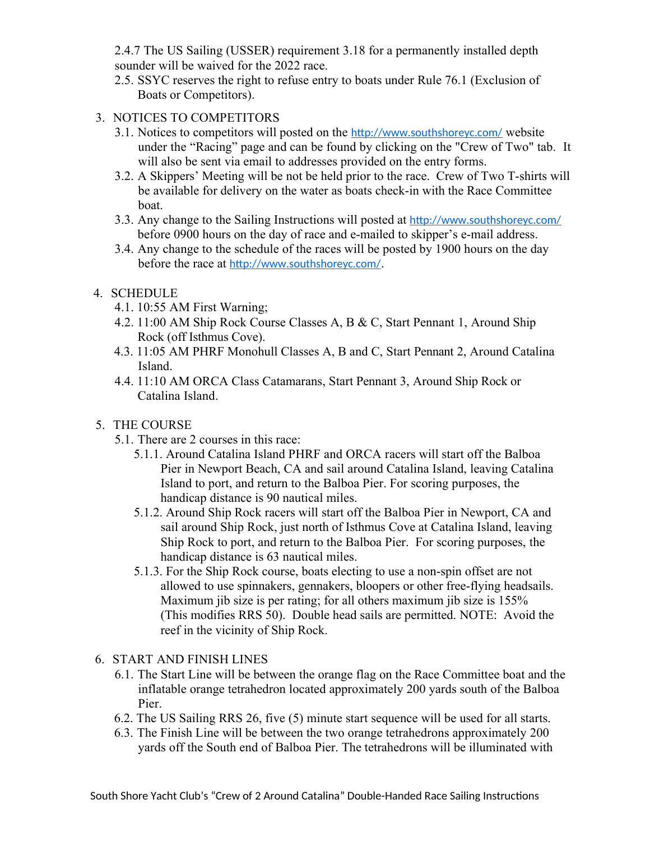2.4.7 The US Sailing (USSER) requirement 3.18 for a permanently installed depth sounder will be waived for the 2022 race.

- 2.5. SSYC reserves the right to refuse entry to boats under Rule 76.1 (Exclusion of Boats or Competitors).
- 3. NOTICES TO COMPETITORS
	- 3.1. Notices to competitors will posted on the <http://www.southshoreyc.com/> website under the "Racing" page and can be found by clicking on the "Crew of Two" tab. It will also be sent via email to addresses provided on the entry forms.
	- 3.2. A Skippers' Meeting will be not be held prior to the race. Crew of Two T-shirts will be available for delivery on the water as boats check-in with the Race Committee boat.
	- 3.3. Any change to the Sailing Instructions will posted at <http://www.southshoreyc.com/> before 0900 hours on the day of race and e-mailed to skipper's e-mail address.
	- 3.4. Any change to the schedule of the races will be posted by 1900 hours on the day before the race at <http://www.southshoreyc.com/>.

# 4. SCHEDULE

- 4.1. 10:55 AM First Warning;
- 4.2. 11:00 AM Ship Rock Course Classes A, B & C, Start Pennant 1, Around Ship Rock (off Isthmus Cove).
- 4.3. 11:05 AM PHRF Monohull Classes A, B and C, Start Pennant 2, Around Catalina Island.
- 4.4. 11:10 AM ORCA Class Catamarans, Start Pennant 3, Around Ship Rock or Catalina Island.

# 5. THE COURSE

- 5.1. There are 2 courses in this race:
	- 5.1.1. Around Catalina Island PHRF and ORCA racers will start off the Balboa Pier in Newport Beach, CA and sail around Catalina Island, leaving Catalina Island to port, and return to the Balboa Pier. For scoring purposes, the handicap distance is 90 nautical miles.
	- 5.1.2. Around Ship Rock racers will start off the Balboa Pier in Newport, CA and sail around Ship Rock, just north of Isthmus Cove at Catalina Island, leaving Ship Rock to port, and return to the Balboa Pier. For scoring purposes, the handicap distance is 63 nautical miles.
	- 5.1.3. For the Ship Rock course, boats electing to use a non-spin offset are not allowed to use spinnakers, gennakers, bloopers or other free-flying headsails. Maximum jib size is per rating; for all others maximum jib size is 155% (This modifies RRS 50). Double head sails are permitted. NOTE: Avoid the reef in the vicinity of Ship Rock.

## 6. START AND FINISH LINES

- 6.1. The Start Line will be between the orange flag on the Race Committee boat and the inflatable orange tetrahedron located approximately 200 yards south of the Balboa Pier.
- 6.2. The US Sailing RRS 26, five (5) minute start sequence will be used for all starts.
- 6.3. The Finish Line will be between the two orange tetrahedrons approximately 200 yards off the South end of Balboa Pier. The tetrahedrons will be illuminated with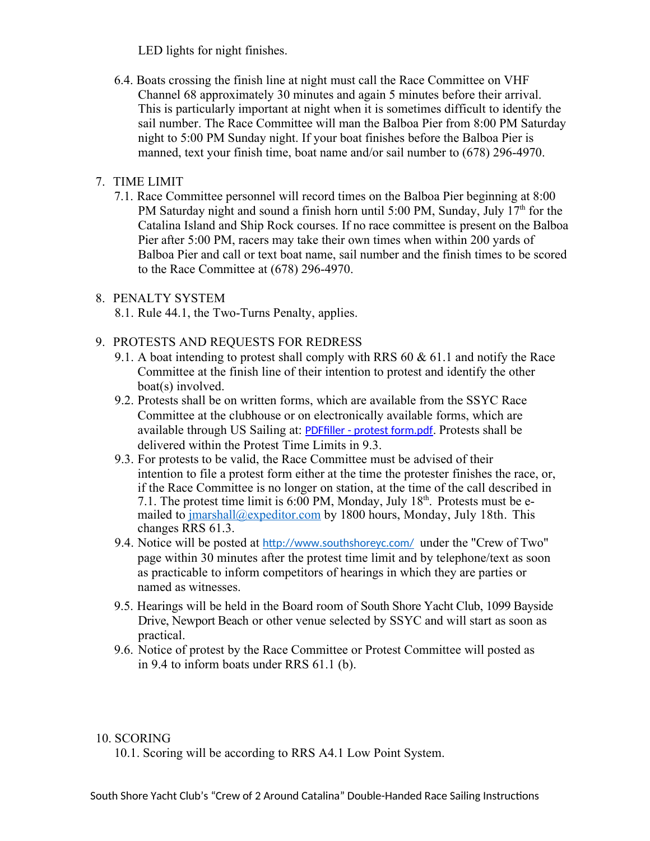LED lights for night finishes.

6.4. Boats crossing the finish line at night must call the Race Committee on VHF Channel 68 approximately 30 minutes and again 5 minutes before their arrival. This is particularly important at night when it is sometimes difficult to identify the sail number. The Race Committee will man the Balboa Pier from 8:00 PM Saturday night to 5:00 PM Sunday night. If your boat finishes before the Balboa Pier is manned, text your finish time, boat name and/or sail number to (678) 296-4970.

# 7. TIME LIMIT

7.1. Race Committee personnel will record times on the Balboa Pier beginning at 8:00 PM Saturday night and sound a finish horn until 5:00 PM, Sunday, July  $17<sup>th</sup>$  for the Catalina Island and Ship Rock courses. If no race committee is present on the Balboa Pier after 5:00 PM, racers may take their own times when within 200 yards of Balboa Pier and call or text boat name, sail number and the finish times to be scored to the Race Committee at (678) 296-4970.

## 8. PENALTY SYSTEM

8.1. Rule 44.1, the Two-Turns Penalty, applies.

- 9. PROTESTS AND REQUESTS FOR REDRESS
	- 9.1. A boat intending to protest shall comply with RRS 60  $\&$  61.1 and notify the Race Committee at the finish line of their intention to protest and identify the other boat(s) involved.
	- 9.2. Protests shall be on written forms, which are available from the SSYC Race Committee at the clubhouse or on electronically available forms, which are available through US Sailing at: [PDFfiller - protest form.pdf](https://www.pdffiller.com/jsfiller-desk13/?requestHash=1a146a25dc7e3660c76d56110e69a4263cbdee25c97b1e0b8cafd28efcfe59c6&projectId=739515669&loader=tips#fa141f826f9ad10e335aaa744089e7bf). Protests shall be delivered within the Protest Time Limits in 9.3.
	- 9.3. For protests to be valid, the Race Committee must be advised of their intention to file a protest form either at the time the protester finishes the race, or, if the Race Committee is no longer on station, at the time of the call described in 7.1. The protest time limit is  $6:00$  PM, Monday, July 18<sup>th</sup>. Protests must be emailed to *[jmarshall@expeditor.com](mailto:jmarshall@expeditor.com)* by 1800 hours, Monday, July 18th. This changes RRS 61.3.
	- 9.4. Notice will be posted at <http://www.southshoreyc.com/> under the "Crew of Two" page within 30 minutes after the protest time limit and by telephone/text as soon as practicable to inform competitors of hearings in which they are parties or named as witnesses.
	- 9.5. Hearings will be held in the Board room of South Shore Yacht Club, 1099 Bayside Drive, Newport Beach or other venue selected by SSYC and will start as soon as practical.
	- 9.6. Notice of protest by the Race Committee or Protest Committee will posted as in 9.4 to inform boats under RRS 61.1 (b).

#### 10. SCORING

10.1. Scoring will be according to RRS A4.1 Low Point System.